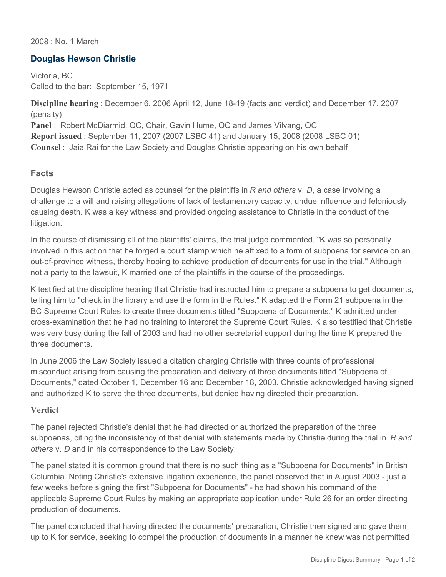2008 : No. 1 March

## **Douglas Hewson Christie**

Victoria, BC Called to the bar: September 15, 1971

**Discipline hearing** : December 6, 2006 April 12, June 18-19 (facts and verdict) and December 17, 2007 (penalty) **Panel** : Robert McDiarmid, QC, Chair, Gavin Hume, QC and James Vilvang, QC

**Report issued** : September 11, 2007 (2007 LSBC 41) and January 15, 2008 (2008 LSBC 01) **Counsel** : Jaia Rai for the Law Society and Douglas Christie appearing on his own behalf

## **Facts**

Douglas Hewson Christie acted as counsel for the plaintiffs in *R and others* v. *D*, a case involving a challenge to a will and raising allegations of lack of testamentary capacity, undue influence and feloniously causing death. K was a key witness and provided ongoing assistance to Christie in the conduct of the litigation.

In the course of dismissing all of the plaintiffs' claims, the trial judge commented, "K was so personally involved in this action that he forged a court stamp which he affixed to a form of subpoena for service on an out-of-province witness, thereby hoping to achieve production of documents for use in the trial." Although not a party to the lawsuit, K married one of the plaintiffs in the course of the proceedings.

K testified at the discipline hearing that Christie had instructed him to prepare a subpoena to get documents, telling him to "check in the library and use the form in the Rules." K adapted the Form 21 subpoena in the BC Supreme Court Rules to create three documents titled "Subpoena of Documents." K admitted under cross-examination that he had no training to interpret the Supreme Court Rules. K also testified that Christie was very busy during the fall of 2003 and had no other secretarial support during the time K prepared the three documents.

In June 2006 the Law Society issued a citation charging Christie with three counts of professional misconduct arising from causing the preparation and delivery of three documents titled "Subpoena of Documents," dated October 1, December 16 and December 18, 2003. Christie acknowledged having signed and authorized K to serve the three documents, but denied having directed their preparation.

## **Verdict**

The panel rejected Christie's denial that he had directed or authorized the preparation of the three subpoenas, citing the inconsistency of that denial with statements made by Christie during the trial in *R and others* v. *D* and in his correspondence to the Law Society.

The panel stated it is common ground that there is no such thing as a "Subpoena for Documents" in British Columbia. Noting Christie's extensive litigation experience, the panel observed that in August 2003 - just a few weeks before signing the first "Subpoena for Documents" - he had shown his command of the applicable Supreme Court Rules by making an appropriate application under Rule 26 for an order directing production of documents.

The panel concluded that having directed the documents' preparation, Christie then signed and gave them up to K for service, seeking to compel the production of documents in a manner he knew was not permitted